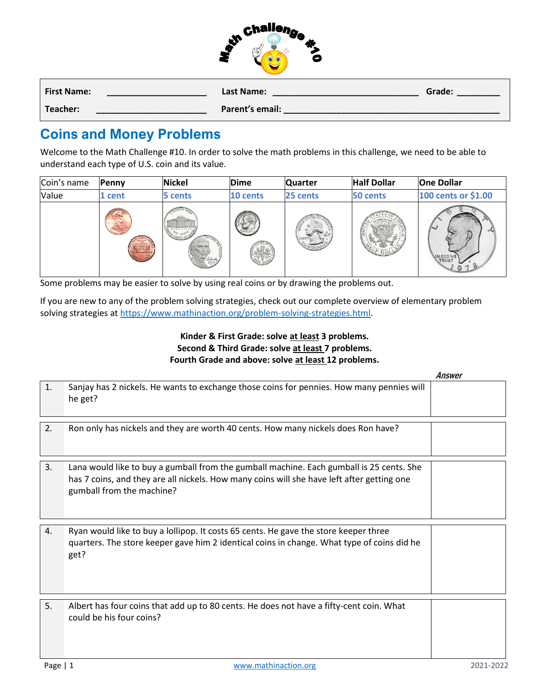|                    | <b>Enalleng</b><br>Ð<br>μ¢<br>-2<br>c |        |
|--------------------|---------------------------------------|--------|
| <b>First Name:</b> | <b>Last Name:</b>                     | Grade: |
| Teacher:           | Parent's email:                       |        |

## **Coins and Money Problems**

Welcome to the Math Challenge #10. In order to solve the math problems in this challenge, we need to be able to understand each type of U.S. coin and its value.

| Coin's name | Penny | <b>Nickel</b>                                                   | <b>Dime</b> | <b>Quarter</b> | <b>Half Dollar</b> | <b>One Dollar</b>   |
|-------------|-------|-----------------------------------------------------------------|-------------|----------------|--------------------|---------------------|
| Value       | cent  | 5 cents                                                         | 10 cents    | 25 cents       | 50 cents           | 100 cents or \$1.00 |
|             |       | MONTICELLO<br><b>TVE CENT<sup>S</sup> SO</b><br>leborty<br>2013 |             | LIBERT         |                    | <b>VINGO</b>        |

Some problems may be easier to solve by using real coins or by drawing the problems out.

If you are new to any of the problem solving strategies, check out our complete overview of elementary problem solving strategies at [https://www.mathinaction.org/problem-solving-strategies.html.](https://www.mathinaction.org/problem-solving-strategies.html)

## **Kinder & First Grade: solve at least 3 problems. Second & Third Grade: solve at least 7 problems. Fourth Grade and above: solve at least 12 problems.**

|                  |                                                                                                                                                                                                                     | Answer |
|------------------|---------------------------------------------------------------------------------------------------------------------------------------------------------------------------------------------------------------------|--------|
| $\mathbf{1}$ .   | Sanjay has 2 nickels. He wants to exchange those coins for pennies. How many pennies will<br>he get?                                                                                                                |        |
| 2.               | Ron only has nickels and they are worth 40 cents. How many nickels does Ron have?                                                                                                                                   |        |
| 3.               | Lana would like to buy a gumball from the gumball machine. Each gumball is 25 cents. She<br>has 7 coins, and they are all nickels. How many coins will she have left after getting one<br>gumball from the machine? |        |
| $\overline{4}$ . | Ryan would like to buy a lollipop. It costs 65 cents. He gave the store keeper three<br>quarters. The store keeper gave him 2 identical coins in change. What type of coins did he<br>get?                          |        |
| 5.               | Albert has four coins that add up to 80 cents. He does not have a fifty-cent coin. What<br>could be his four coins?                                                                                                 |        |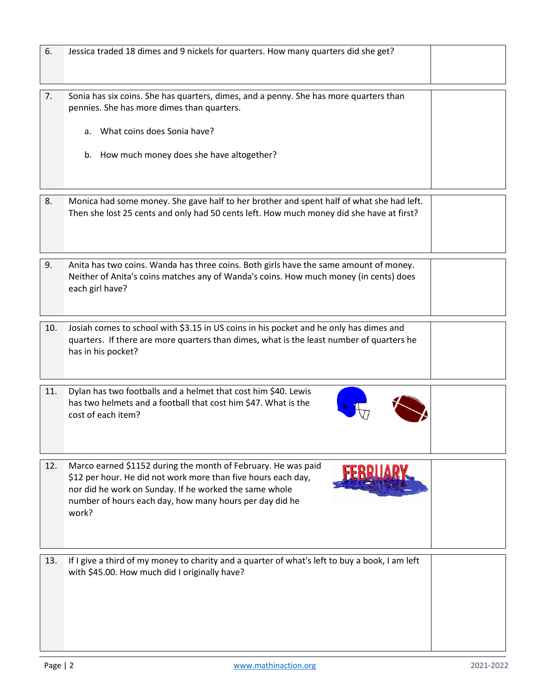| 6.  | Jessica traded 18 dimes and 9 nickels for quarters. How many quarters did she get?                                                                                                                                                                           |  |
|-----|--------------------------------------------------------------------------------------------------------------------------------------------------------------------------------------------------------------------------------------------------------------|--|
| 7.  | Sonia has six coins. She has quarters, dimes, and a penny. She has more quarters than<br>pennies. She has more dimes than quarters.<br>a. What coins does Sonia have?<br>b. How much money does she have altogether?                                         |  |
| 8.  | Monica had some money. She gave half to her brother and spent half of what she had left.<br>Then she lost 25 cents and only had 50 cents left. How much money did she have at first?                                                                         |  |
| 9.  | Anita has two coins. Wanda has three coins. Both girls have the same amount of money.<br>Neither of Anita's coins matches any of Wanda's coins. How much money (in cents) does<br>each girl have?                                                            |  |
| 10. | Josiah comes to school with \$3.15 in US coins in his pocket and he only has dimes and<br>quarters. If there are more quarters than dimes, what is the least number of quarters he<br>has in his pocket?                                                     |  |
| 11. | Dylan has two footballs and a helmet that cost him \$40. Lewis<br>has two helmets and a football that cost him \$47. What is the<br>cost of each item?                                                                                                       |  |
| 12. | Marco earned \$1152 during the month of February. He was paid<br>\$12 per hour. He did not work more than five hours each day,<br>nor did he work on Sunday. If he worked the same whole<br>number of hours each day, how many hours per day did he<br>work? |  |
| 13. | If I give a third of my money to charity and a quarter of what's left to buy a book, I am left<br>with \$45.00. How much did I originally have?                                                                                                              |  |